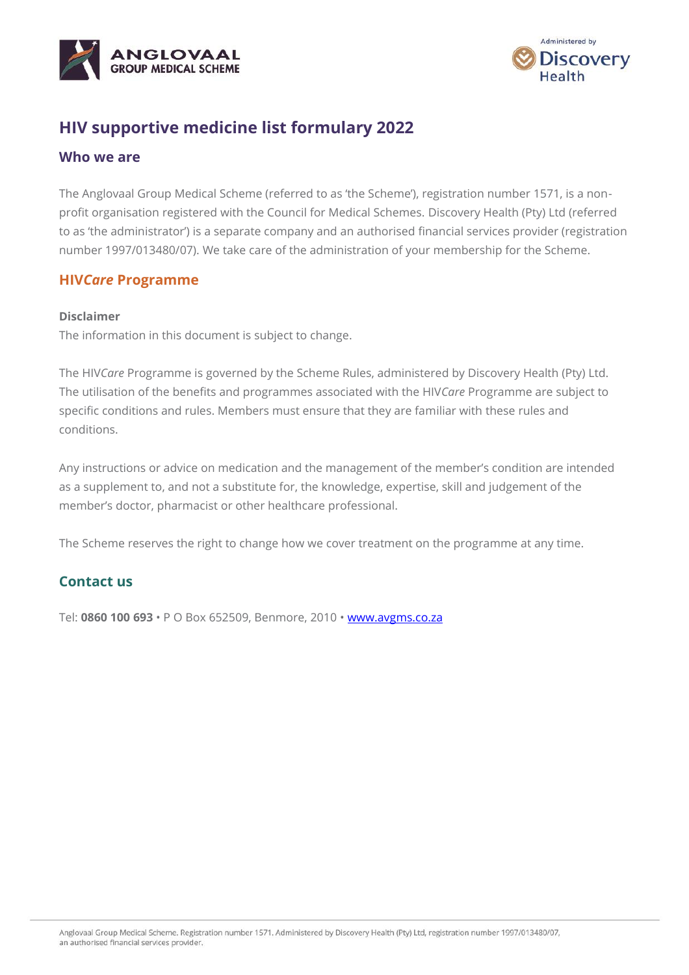



## **HIV supportive medicine list formulary 2022**

#### **Who we are**

The Anglovaal Group Medical Scheme (referred to as 'the Scheme'), registration number 1571, is a nonprofit organisation registered with the Council for Medical Schemes. Discovery Health (Pty) Ltd (referred to as 'the administrator') is a separate company and an authorised financial services provider (registration number 1997/013480/07). We take care of the administration of your membership for the Scheme.

#### **HIV***Care* **Programme**

#### **Disclaimer**

The information in this document is subject to change.

The HIV*Care* Programme is governed by the Scheme Rules, administered by Discovery Health (Pty) Ltd. The utilisation of the benefits and programmes associated with the HIV*Care* Programme are subject to specific conditions and rules. Members must ensure that they are familiar with these rules and conditions.

Any instructions or advice on medication and the management of the member's condition are intended as a supplement to, and not a substitute for, the knowledge, expertise, skill and judgement of the member's doctor, pharmacist or other healthcare professional.

The Scheme reserves the right to change how we cover treatment on the programme at any time.

### **Contact us**

Tel: **0860 100 693** • P O Box 652509, Benmore, 2010 • [www.avgms.co.za](http://www.avgms.co.za/)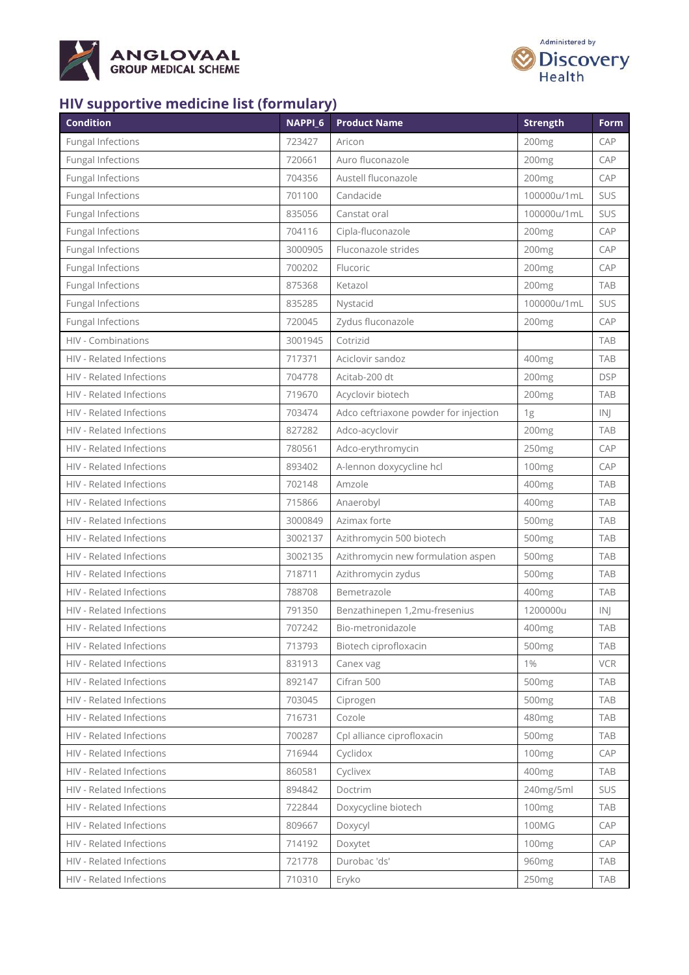



# **HIV supportive medicine list (formulary)**

| <b>Condition</b>         | NAPPI_6 | <b>Product Name</b>                   | <b>Strength</b>   | <b>Form</b>   |
|--------------------------|---------|---------------------------------------|-------------------|---------------|
| <b>Fungal Infections</b> | 723427  | Aricon                                | 200 <sub>mg</sub> | CAP           |
| <b>Fungal Infections</b> | 720661  | Auro fluconazole                      | 200mg             | CAP           |
| <b>Fungal Infections</b> | 704356  | Austell fluconazole                   | 200 <sub>mg</sub> | CAP           |
| <b>Fungal Infections</b> | 701100  | Candacide                             | 100000u/1mL       | SUS           |
| <b>Fungal Infections</b> | 835056  | Canstat oral                          | 100000u/1mL       | SUS           |
| <b>Fungal Infections</b> | 704116  | Cipla-fluconazole                     | 200mg             | CAP           |
| <b>Fungal Infections</b> | 3000905 | Fluconazole strides                   | 200mg             | CAP           |
| <b>Fungal Infections</b> | 700202  | Flucoric                              | 200mg             | CAP           |
| <b>Fungal Infections</b> | 875368  | Ketazol                               | 200mg             | <b>TAB</b>    |
| Fungal Infections        | 835285  | Nystacid                              | 100000u/1mL       | SUS           |
| <b>Fungal Infections</b> | 720045  | Zydus fluconazole                     | 200mg             | CAP           |
| HIV - Combinations       | 3001945 | Cotrizid                              |                   | <b>TAB</b>    |
| HIV - Related Infections | 717371  | Aciclovir sandoz                      | 400mg             | <b>TAB</b>    |
| HIV - Related Infections | 704778  | Acitab-200 dt                         | 200mg             | <b>DSP</b>    |
| HIV - Related Infections | 719670  | Acyclovir biotech                     | 200mg             | <b>TAB</b>    |
| HIV - Related Infections | 703474  | Adco ceftriaxone powder for injection | 1g                | IN            |
| HIV - Related Infections | 827282  | Adco-acyclovir                        | 200mg             | <b>TAB</b>    |
| HIV - Related Infections | 780561  | Adco-erythromycin                     | 250mg             | CAP           |
| HIV - Related Infections | 893402  | A-lennon doxycycline hcl              | 100 <sub>mg</sub> | CAP           |
| HIV - Related Infections | 702148  | Amzole                                | 400mg             | <b>TAB</b>    |
| HIV - Related Infections | 715866  | Anaerobyl                             | 400mg             | <b>TAB</b>    |
| HIV - Related Infections | 3000849 | Azimax forte                          | 500mg             | <b>TAB</b>    |
| HIV - Related Infections | 3002137 | Azithromycin 500 biotech              | 500mg             | <b>TAB</b>    |
| HIV - Related Infections | 3002135 | Azithromycin new formulation aspen    | 500mg             | <b>TAB</b>    |
| HIV - Related Infections | 718711  | Azithromycin zydus                    | 500mg             | <b>TAB</b>    |
| HIV - Related Infections | 788708  | Bemetrazole                           | 400mg             | <b>TAB</b>    |
| HIV - Related Infections | 791350  | Benzathinepen 1,2mu-fresenius         | 1200000u          | $\mathsf{IN}$ |
| HIV - Related Infections | 707242  | Bio-metronidazole                     | 400mg             | <b>TAB</b>    |
| HIV - Related Infections | 713793  | Biotech ciprofloxacin                 | 500mg             | <b>TAB</b>    |
| HIV - Related Infections | 831913  | Canex vag                             | $1\%$             | <b>VCR</b>    |
| HIV - Related Infections | 892147  | Cifran 500                            | 500 <sub>mg</sub> | <b>TAB</b>    |
| HIV - Related Infections | 703045  | Ciprogen                              | 500 <sub>mg</sub> | <b>TAB</b>    |
| HIV - Related Infections | 716731  | Cozole                                | 480mg             | <b>TAB</b>    |
| HIV - Related Infections | 700287  | Cpl alliance ciprofloxacin            | 500 <sub>mg</sub> | <b>TAB</b>    |
| HIV - Related Infections | 716944  | Cyclidox                              | 100mg             | CAP           |
| HIV - Related Infections | 860581  | Cyclivex                              | 400mg             | <b>TAB</b>    |
| HIV - Related Infections | 894842  | Doctrim                               | 240mg/5ml         | SUS           |
| HIV - Related Infections | 722844  | Doxycycline biotech                   | 100 <sub>mg</sub> | <b>TAB</b>    |
| HIV - Related Infections | 809667  | Doxycyl                               | 100MG             | CAP           |
| HIV - Related Infections | 714192  | Doxytet                               | 100 <sub>mg</sub> | CAP           |
| HIV - Related Infections | 721778  | Durobac 'ds'                          | 960 <sub>mg</sub> | <b>TAB</b>    |
| HIV - Related Infections | 710310  | Eryko                                 | 250mg             | <b>TAB</b>    |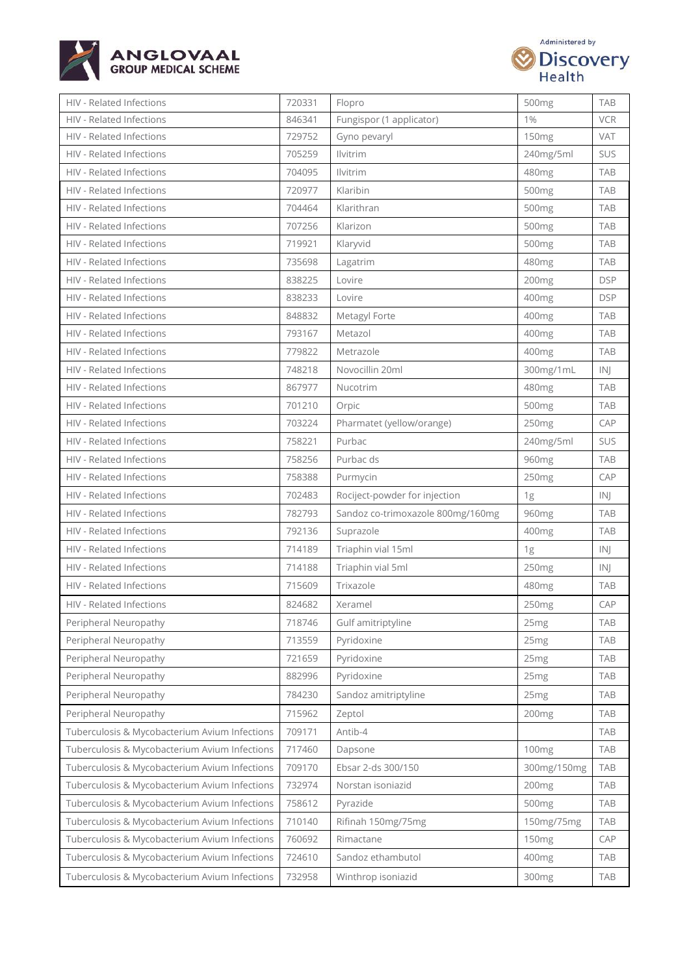



| HIV - Related Infections                      | 720331 | Flopro                            | 500mg             | <b>TAB</b> |
|-----------------------------------------------|--------|-----------------------------------|-------------------|------------|
| <b>HIV - Related Infections</b>               | 846341 | Fungispor (1 applicator)          | 1%                | <b>VCR</b> |
| HIV - Related Infections                      | 729752 | Gyno pevaryl                      | 150 <sub>mg</sub> | VAT        |
| HIV - Related Infections                      | 705259 | <b>Ilvitrim</b>                   | 240mg/5ml         | SUS        |
| HIV - Related Infections                      | 704095 | <b>Ilvitrim</b>                   | 480mg             | <b>TAB</b> |
| HIV - Related Infections                      | 720977 | Klaribin                          | 500 <sub>mg</sub> | <b>TAB</b> |
| HIV - Related Infections                      | 704464 | Klarithran                        | 500 <sub>mg</sub> | <b>TAB</b> |
| HIV - Related Infections                      | 707256 | Klarizon                          | 500 <sub>mg</sub> | <b>TAB</b> |
| HIV - Related Infections                      | 719921 | Klaryvid                          | 500 <sub>mg</sub> | <b>TAB</b> |
| <b>HIV - Related Infections</b>               | 735698 | Lagatrim                          | 480mg             | <b>TAB</b> |
| HIV - Related Infections                      | 838225 | Lovire                            | 200mg             | <b>DSP</b> |
| HIV - Related Infections                      | 838233 | Lovire                            | 400mg             | <b>DSP</b> |
| HIV - Related Infections                      | 848832 | Metagyl Forte                     | 400mg             | <b>TAB</b> |
| HIV - Related Infections                      | 793167 | Metazol                           | 400mg             | <b>TAB</b> |
| HIV - Related Infections                      | 779822 | Metrazole                         | 400mg             | <b>TAB</b> |
| HIV - Related Infections                      | 748218 | Novocillin 20ml                   | 300mg/1mL         | IN         |
| HIV - Related Infections                      | 867977 | Nucotrim                          | 480mg             | <b>TAB</b> |
| <b>HIV - Related Infections</b>               | 701210 | Orpic                             | 500 <sub>mg</sub> | <b>TAB</b> |
| HIV - Related Infections                      | 703224 | Pharmatet (yellow/orange)         | 250 <sub>mg</sub> | CAP        |
| HIV - Related Infections                      | 758221 | Purbac                            | 240mg/5ml         | SUS        |
| <b>HIV - Related Infections</b>               | 758256 | Purbac ds                         | 960 <sub>mg</sub> | <b>TAB</b> |
| HIV - Related Infections                      | 758388 | Purmycin                          | 250mg             | CAP        |
| HIV - Related Infections                      | 702483 | Rociject-powder for injection     | 1g                | IN         |
| HIV - Related Infections                      | 782793 | Sandoz co-trimoxazole 800mg/160mg | 960mg             | <b>TAB</b> |
| HIV - Related Infections                      | 792136 | Suprazole                         | 400mg             | <b>TAB</b> |
| HIV - Related Infections                      | 714189 | Triaphin vial 15ml                | 1g                | INI        |
| HIV - Related Infections                      | 714188 | Triaphin vial 5ml                 | 250mg             | IN         |
| HIV - Related Infections                      | 715609 | Trixazole                         | 480mg             | <b>TAB</b> |
| HIV - Related Infections                      | 824682 | Xeramel                           | 250 <sub>mg</sub> | CAP        |
| Peripheral Neuropathy                         | 718746 | Gulf amitriptyline                | 25 <sub>mg</sub>  | TAB        |
| Peripheral Neuropathy                         | 713559 | Pyridoxine                        | 25 <sub>mg</sub>  | <b>TAB</b> |
| Peripheral Neuropathy                         | 721659 | Pyridoxine                        | 25 <sub>mg</sub>  | <b>TAB</b> |
| Peripheral Neuropathy                         | 882996 | Pyridoxine                        | 25 <sub>mg</sub>  | <b>TAB</b> |
| Peripheral Neuropathy                         | 784230 | Sandoz amitriptyline              | 25 <sub>mg</sub>  | <b>TAB</b> |
| Peripheral Neuropathy                         | 715962 | Zeptol                            | 200 <sub>mg</sub> | <b>TAB</b> |
| Tuberculosis & Mycobacterium Avium Infections | 709171 | Antib-4                           |                   | <b>TAB</b> |
| Tuberculosis & Mycobacterium Avium Infections | 717460 | Dapsone                           | 100 <sub>mg</sub> | <b>TAB</b> |
| Tuberculosis & Mycobacterium Avium Infections | 709170 | Ebsar 2-ds 300/150                | 300mg/150mg       | <b>TAB</b> |
| Tuberculosis & Mycobacterium Avium Infections | 732974 | Norstan isoniazid                 | 200mg             | <b>TAB</b> |
| Tuberculosis & Mycobacterium Avium Infections | 758612 | Pyrazide                          | 500mg             | <b>TAB</b> |
| Tuberculosis & Mycobacterium Avium Infections | 710140 | Rifinah 150mg/75mg                | 150mg/75mg        | <b>TAB</b> |
| Tuberculosis & Mycobacterium Avium Infections | 760692 | Rimactane                         | 150mg             | CAP        |
| Tuberculosis & Mycobacterium Avium Infections | 724610 | Sandoz ethambutol                 | 400 <sub>mg</sub> | <b>TAB</b> |
| Tuberculosis & Mycobacterium Avium Infections | 732958 | Winthrop isoniazid                | 300mg             | <b>TAB</b> |